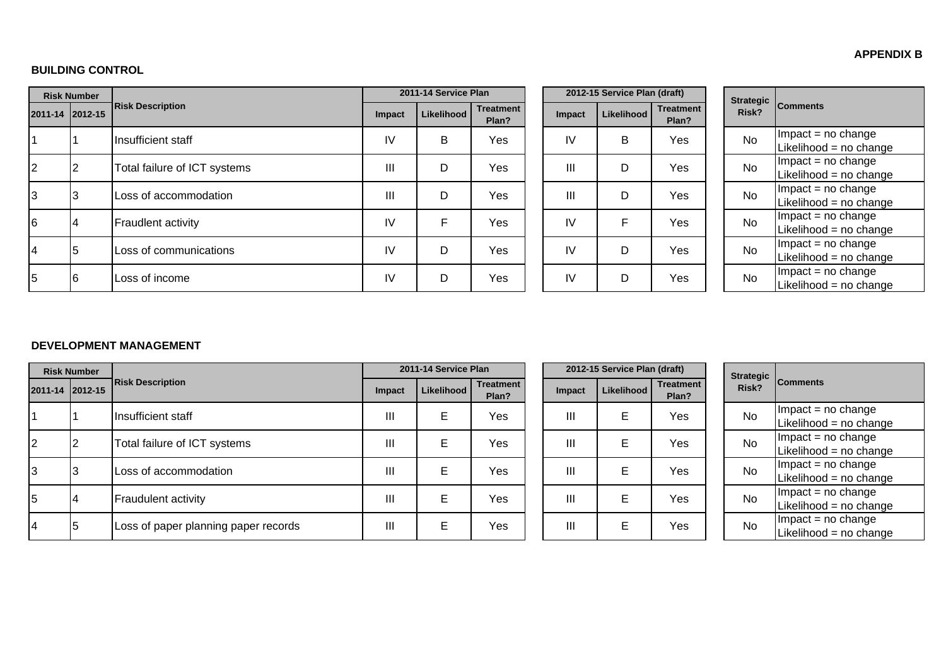#### **APPENDIX B**

#### **BUILDING CONTROL**

|    | <b>Risk Number</b> |                              |        | 2011-14 Service Plan |                           |        | 2012-15 Service Plan (draft) |                           | Strategic |                                               |
|----|--------------------|------------------------------|--------|----------------------|---------------------------|--------|------------------------------|---------------------------|-----------|-----------------------------------------------|
|    | 2011-14 2012-15    | <b>Risk Description</b>      | Impact | Likelihood           | <b>Treatment</b><br>Plan? | Impact | Likelihood                   | <b>Treatment</b><br>Plan? | Risk?     | <b>Comments</b>                               |
|    |                    | Insufficient staff           | IV     | B                    | Yes                       | IV     | В                            | Yes                       | <b>No</b> | $Im$ pact = no change<br>Likelihood = no chan |
| 2  |                    | Total failure of ICT systems | III    | D                    | Yes                       | III    | D                            | Yes                       | <b>No</b> | $Im$ pact = no change<br>Likelihood = no chan |
| Iз | IЗ                 | Loss of accommodation        | III    | D                    | Yes                       | III    | D                            | Yes                       | <b>No</b> | $Im$ pact = no change<br>Likelihood = no chan |
| 6  |                    | Fraudlent activity           | IV     | E                    | Yes                       | IV     | F                            | Yes                       | <b>No</b> | $Im$ pact = no change<br>Likelihood = no chan |
| 14 |                    | Loss of communications       | IV     | D                    | Yes                       | IV     | D                            | Yes                       | <b>No</b> | $Im$ pact = no change<br>Likelihood = no chan |
| 5  | I6                 | Loss of income               | IV     | D                    | Yes                       | IV     | D                            | Yes                       | <b>No</b> | $Im$ pact = no change<br>Likelihood = no chan |

|  | <b>Strategic</b><br>Risk? | <b>Comments</b>        |
|--|---------------------------|------------------------|
|  | Nο                        | $Im$ pact = no change  |
|  |                           | Likelihood = no change |
|  | N٥                        | $Impact = no change$   |
|  |                           | Likelihood = no change |
|  | Nο                        | $Impact = no change$   |
|  |                           | Likelihood = no change |
|  | Nο                        | $Impact = no change$   |
|  |                           | Likelihood = no change |
|  | Nο                        | $Impact = no change$   |
|  |                           | Likelihood = no change |
|  | N٥                        | $Impact = no change$   |
|  |                           | Likelihood = no change |

#### **DEVELOPMENT MANAGEMENT**

|                 | <b>Risk Number</b> |                                      |        | 2011-14 Service Plan |                           |        |            | 2012-15 Service Plan (draft)<br>Strategic Comments |  |           |                                               |
|-----------------|--------------------|--------------------------------------|--------|----------------------|---------------------------|--------|------------|----------------------------------------------------|--|-----------|-----------------------------------------------|
| 2011-14 2012-15 |                    | <b>Risk Description</b>              | Impact | Likelihood           | <b>Treatment</b><br>Plan? | Impact | Likelihood | <b>Treatment</b><br>Plan?                          |  | Risk?     |                                               |
|                 |                    | Insufficient staff                   | Ш      | Е                    | Yes                       | Ш      | E          | Yes                                                |  | <b>No</b> | $Im$ pact = no change<br>Likelihood = no chan |
| 2               |                    | Total failure of ICT systems         | Ш      | Е                    | Yes                       | Ш      | E          | Yes                                                |  | <b>No</b> | $Im$ pact = no change<br>Likelihood = no chan |
| 3               |                    | Loss of accommodation                | Ш      | Е                    | Yes                       | Ш      | Е          | Yes                                                |  | <b>No</b> | $Im$ pact = no change<br>Likelihood = no chan |
| 5               |                    | <b>Fraudulent activity</b>           | Ш      | Е                    | Yes                       | Ш      | E          | Yes                                                |  | <b>No</b> | $Im$ pact = no change<br>Likelihood = no chan |
| 14              | 15                 | Loss of paper planning paper records | Ш      | Е                    | Yes                       | Ш      | E          | Yes                                                |  | No        | $Im$ pact = no change<br>Likelihood = no chan |

|          | 2012-15 Service Plan (draft) |            |                           |  |  |  |  |  |  |  |  |  |
|----------|------------------------------|------------|---------------------------|--|--|--|--|--|--|--|--|--|
| ent<br>? | <b>Impact</b>                | Likelihood | <b>Treatment</b><br>Plan? |  |  |  |  |  |  |  |  |  |
| ś        | Ш                            | Е          | Yes                       |  |  |  |  |  |  |  |  |  |
| ś        | Ш                            | Е          | Yes                       |  |  |  |  |  |  |  |  |  |
| 3        | Ш                            | E          | Yes                       |  |  |  |  |  |  |  |  |  |
| ś        | Ш                            | E          | Yes                       |  |  |  |  |  |  |  |  |  |
| ś        | Ш                            | E          | Yes                       |  |  |  |  |  |  |  |  |  |

| <b>Strategic</b><br>Risk? | <b>Comments</b>        |
|---------------------------|------------------------|
| N٥                        | $Impact = no change$   |
|                           | Likelihood = no change |
| N٥                        | $Im$ pact = no change  |
|                           | Likelihood = no change |
| N٥                        | $Im$ pact = no change  |
|                           | Likelihood = no change |
| N٥                        | $Impact = no change$   |
|                           | Likelihood = no change |
| N٥                        | $Impact = no change$   |
|                           | Likelihood = no change |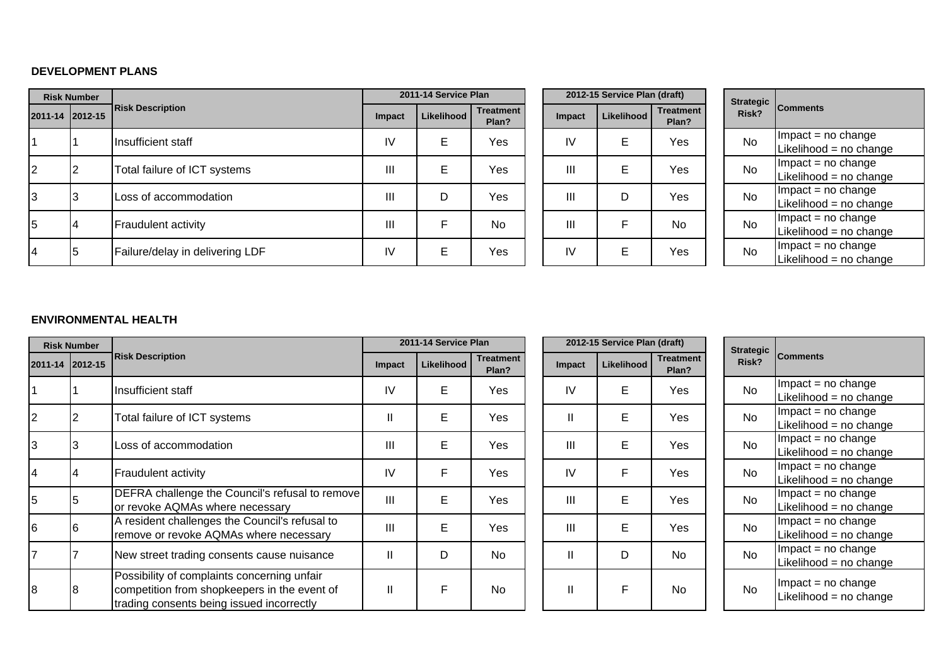#### **DEVELOPMENT PLANS**

|                 | <b>Risk Number</b> |                                 | 2011-14 Service Plan |            |                           |        | 2012-15 Service Plan (draft) |                           | Strategic |                                               |
|-----------------|--------------------|---------------------------------|----------------------|------------|---------------------------|--------|------------------------------|---------------------------|-----------|-----------------------------------------------|
| 2011-14 2012-15 |                    | <b>Risk Description</b>         | Impact               | Likelihood | <b>Treatment</b><br>Plan? | Impact | Likelihood                   | <b>Treatment</b><br>Plan? | Risk?     | <b>Comments</b>                               |
|                 |                    | Ilnsufficient staff             | IV                   | Е          | Yes                       | IV     | Е                            | Yes                       | <b>No</b> | $Im$ pact = no change<br>Likelihood = no chan |
| $\overline{2}$  |                    | Total failure of ICT systems    | III                  | E          | Yes                       | Ш      | E                            | Yes                       | <b>No</b> | $Im$ pact = no change<br>Likelihood = no chan |
| 3               |                    | Loss of accommodation           | Ш                    | D          | Yes                       | Ш      | D                            | Yes                       | <b>No</b> | $Im$ pact = no change<br>Likelihood = no chan |
| 5               | 4                  | <b>Fraudulent activity</b>      | Ш                    | F          | <b>No</b>                 | Ш      |                              | <b>No</b>                 | <b>No</b> | $Im$ pact = no change<br>Likelihood = no chan |
| 4               | 5                  | Failure/delay in delivering LDF | IV                   | E          | Yes                       | IV     | E                            | Yes                       | <b>No</b> | $Im$ pact = no change<br>Likelihood = no chan |

|          |               | 2012-15 Service Plan (draft) |                           |  |  |  |  |  |  |  |  |  |  |
|----------|---------------|------------------------------|---------------------------|--|--|--|--|--|--|--|--|--|--|
| ent<br>? | <b>Impact</b> | <b>Likelihood</b>            | <b>Treatment</b><br>Plan? |  |  |  |  |  |  |  |  |  |  |
| ś        | IV            | E                            | Yes                       |  |  |  |  |  |  |  |  |  |  |
| ś        | Ш             | E                            | Yes                       |  |  |  |  |  |  |  |  |  |  |
| ś        | Ш             | D                            | Yes                       |  |  |  |  |  |  |  |  |  |  |
|          | Ш             | F                            | No                        |  |  |  |  |  |  |  |  |  |  |
| ś        | IV            | E                            | Yes                       |  |  |  |  |  |  |  |  |  |  |

| <b>Strategic</b><br>Risk? | <b>Comments</b>        |
|---------------------------|------------------------|
| N٥                        | $Im$ pact = no change  |
|                           | Likelihood = no change |
| N٥                        | $Im$ pact = no change  |
|                           | Likelihood = no change |
| N٥                        | $Impact = no change$   |
|                           | Likelihood = no change |
| N٥                        | $Im$ pact = no change  |
|                           | Likelihood = no change |
| N٥                        | $Impact = no change$   |
|                           | Likelihood = no change |

### **ENVIRONMENTAL HEALTH**

|                 | <b>Risk Number</b> |                                                                                                                                          |                | 2011-14 Service Plan |                           |               | 2012-15 Service Plan (draft) |                           | <b>Strategic</b> |                                               |
|-----------------|--------------------|------------------------------------------------------------------------------------------------------------------------------------------|----------------|----------------------|---------------------------|---------------|------------------------------|---------------------------|------------------|-----------------------------------------------|
| 2011-14 2012-15 |                    | <b>Risk Description</b>                                                                                                                  | <b>Impact</b>  | Likelihood           | <b>Treatment</b><br>Plan? | <b>Impact</b> | Likelihood                   | <b>Treatment</b><br>Plan? | Risk?            | <b>Comments</b>                               |
|                 |                    | Insufficient staff                                                                                                                       | IV             | E                    | Yes                       | IV            | E                            | Yes                       | <b>No</b>        | $Im$ pact = no change<br>Likelihood = no chan |
| 2               |                    | Total failure of ICT systems                                                                                                             | Ш              | E                    | Yes                       | $\mathbf{I}$  | E                            | Yes                       | <b>No</b>        | $Im$ pact = no change<br>Likelihood = no chan |
| IЗ              | IЗ                 | Loss of accommodation                                                                                                                    | Ш              | E                    | Yes                       | III           | Е                            | Yes                       | <b>No</b>        | $Im$ pact = no change<br>Likelihood = no chan |
| 14              | 4                  | Fraudulent activity                                                                                                                      | IV             | F                    | Yes                       | IV            | F                            | Yes                       | <b>No</b>        | $Im$ pact = no change<br>Likelihood = no chan |
| 5               |                    | DEFRA challenge the Council's refusal to remove<br>or revoke AQMAs where necessary                                                       | $\mathbf{III}$ | E                    | Yes                       | III           | E                            | Yes                       | <b>No</b>        | $Im$ pact = no change<br>Likelihood = no chan |
| 6               | 16                 | A resident challenges the Council's refusal to<br>remove or revoke AQMAs where necessary                                                 | III            | E                    | Yes                       | III           | E                            | Yes                       | <b>No</b>        | $Im$ pact = no change<br>Likelihood = no chan |
|                 |                    | New street trading consents cause nuisance                                                                                               | Ш              | D                    | <b>No</b>                 | $\mathbf{II}$ | D                            | <b>No</b>                 | <b>No</b>        | $Im$ pact = no change<br>Likelihood = no chan |
| 8               |                    | Possibility of complaints concerning unfair<br>competition from shopkeepers in the event of<br>trading consents being issued incorrectly |                | F                    | <b>No</b>                 | $\mathbf{I}$  | F                            | <b>No</b>                 | <b>No</b>        | $Im$ pact = no change<br>Likelihood = no chan |

| <b>Strategic</b><br>Risk? | <b>Comments</b>                              |
|---------------------------|----------------------------------------------|
| N٥                        | $Impact = no change$                         |
|                           | Likelihood = no change                       |
| N٥                        | $Im$ pact = no change                        |
|                           | Likelihood = no change                       |
| N٥                        | Impact = no change                           |
|                           | Likelihood = $no$ change                     |
| No                        | $Impact = no change$                         |
|                           | Likelihood = no change                       |
| N٥                        | $Impact = no change$                         |
|                           | Likelihood = no change                       |
| N٥                        | $Impact = no change$                         |
|                           | Likelihood = $no$ change                     |
| No                        | $Impact = no change$                         |
|                           | Likelihood = no change                       |
| N٥                        | Impact = no change<br>Likelihood = no change |
|                           |                                              |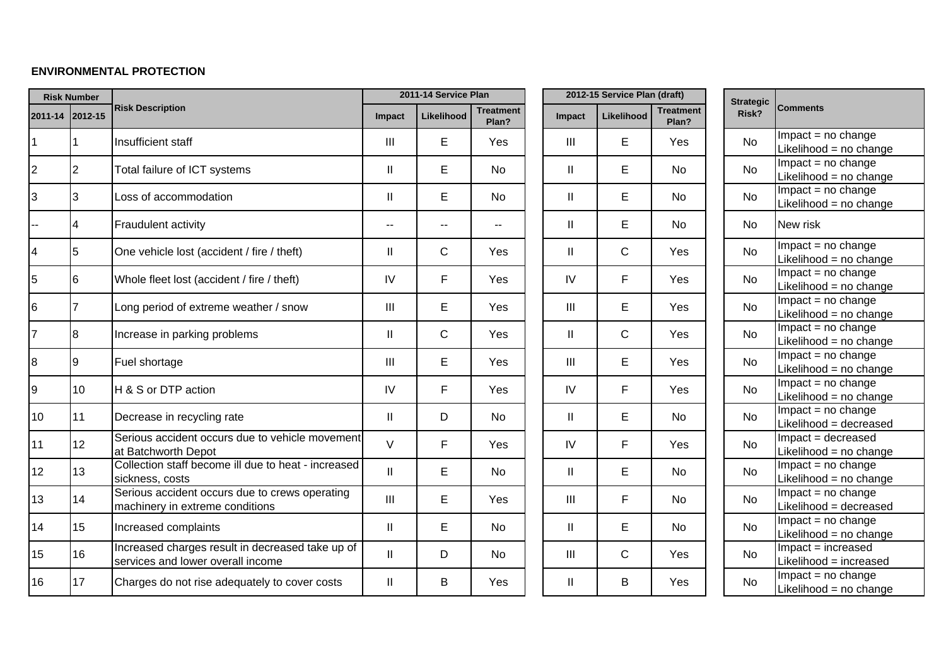### **ENVIRONMENTAL PROTECTION**

|                         | <b>Risk Number</b> |                                                                                       |                | 2011-14 Service Plan |                           |                                    | 2012-15 Service Plan (draft) |                           | <b>Strategic</b> |                                                                  |
|-------------------------|--------------------|---------------------------------------------------------------------------------------|----------------|----------------------|---------------------------|------------------------------------|------------------------------|---------------------------|------------------|------------------------------------------------------------------|
| 2011-14 2012-15         |                    | <b>Risk Description</b>                                                               | <b>Impact</b>  | Likelihood           | <b>Treatment</b><br>Plan? | Impact                             | Likelihood                   | <b>Treatment</b><br>Plan? | Risk?            | <b>Comments</b>                                                  |
| $\mathbf{1}$            |                    | Insufficient staff                                                                    | $\mathbf{III}$ | E                    | Yes                       | $\mathbf{III}$                     | E                            | Yes                       | No               | $Impact = no change$<br>Likelihood = no change                   |
| $\overline{2}$          | 2                  | Total failure of ICT systems                                                          | $\mathsf{II}$  | E                    | <b>No</b>                 | $\mathbf{II}$                      | E                            | <b>No</b>                 | <b>No</b>        | $Impact = no change$<br>Likelihood = no change                   |
| 3                       | 3                  | Loss of accommodation                                                                 | $\mathbf{II}$  | E                    | <b>No</b>                 | $\mathbf{II}$                      | E                            | <b>No</b>                 | No               | $Impact = no change$<br>Likelihood = no change                   |
|                         | 4                  | Fraudulent activity                                                                   |                |                      | --                        | $\mathbf{II}$                      | E                            | <b>No</b>                 | <b>No</b>        | New risk                                                         |
| $\overline{\mathbf{4}}$ | 5                  | One vehicle lost (accident / fire / theft)                                            | $\mathbf{II}$  | C                    | Yes                       | Ш                                  | $\mathsf C$                  | Yes                       | <b>No</b>        | $Impact = no change$<br>Likelihood = no change                   |
| 5                       | 6                  | Whole fleet lost (accident / fire / theft)                                            | IV             | F                    | Yes                       | IV                                 | F.                           | Yes                       | <b>No</b>        | $Impact = no change$<br>Likelihood = no change                   |
| $6\phantom{.}$          | 7                  | Long period of extreme weather / snow                                                 | III            | E                    | Yes                       | $\ensuremath{\mathsf{III}}\xspace$ | E                            | Yes                       | No               | $Impact = no change$<br>Likelihood = no change                   |
| $\overline{7}$          | 8                  | Increase in parking problems                                                          | $\mathbf{II}$  | $\mathsf C$          | Yes                       | $\mathbf{I}$                       | $\mathsf{C}$                 | Yes                       | No               | $Impact = no change$<br>Likelihood = no change                   |
| $\bf{8}$                | Ι9                 | Fuel shortage                                                                         | III            | E                    | Yes                       | $\ensuremath{\mathsf{III}}\xspace$ | E                            | Yes                       | <b>No</b>        | $Impact = no change$<br>Likelihood = no change                   |
| 9                       | 10                 | H & S or DTP action                                                                   | IV             | F                    | Yes                       | IV                                 | F                            | Yes                       | <b>No</b>        | $Impact = no change$<br>Likelihood = no change                   |
| 10                      | 11                 | Decrease in recycling rate                                                            | $\mathbf{II}$  | D                    | <b>No</b>                 | Ш                                  | Е                            | <b>No</b>                 | <b>No</b>        | $Impact = no change$<br>Likelihood = decreased                   |
| 11                      | 12                 | Serious accident occurs due to vehicle movement<br>at Batchworth Depot                | $\vee$         | F                    | Yes                       | IV                                 | F                            | Yes                       | <b>No</b>        | Impact = decreased<br>Likelihood = no change                     |
| 12                      | 13                 | Collection staff become ill due to heat - increased<br>sickness, costs                | $\mathbf{II}$  | E                    | <b>No</b>                 | $\mathbf{I}$                       | E                            | <b>No</b>                 | <b>No</b>        | $Impact = no change$<br>Likelihood = no change                   |
| 13                      | 14                 | Serious accident occurs due to crews operating<br>machinery in extreme conditions     | III            | E                    | Yes                       | $\mathbf{III}$                     | F                            | No                        | <b>No</b>        | $Impact = no change$<br>Likelihood = decreased                   |
| 14                      | 15                 | Increased complaints                                                                  | $\mathbf{II}$  | E                    | No                        | Ш                                  | E                            | No                        | No               | $Impact = no change$<br>Likelihood = no change                   |
| 15                      | 16                 | Increased charges result in decreased take up of<br>services and lower overall income | $\mathbf{  }$  | D                    | <b>No</b>                 | $\mathbf{III}$                     | $\mathsf{C}$                 | Yes                       | <b>No</b>        | Impact = increased<br>Likelihood = increased                     |
| 16                      | 17                 | Charges do not rise adequately to cover costs                                         | Ш              | В                    | Yes                       | $\mathbf{H}$                       | B                            | Yes                       | <b>No</b>        | $\overline{\text{impact}}$ = no change<br>Likelihood = no change |

|          | 2012-15 Service Plan (draft) |            |                           |  |  |  |  |  |  |  |  |  |
|----------|------------------------------|------------|---------------------------|--|--|--|--|--|--|--|--|--|
| ent<br>? | Impact                       | Likelihood | <b>Treatment</b><br>Plan? |  |  |  |  |  |  |  |  |  |
| S        | Ш                            | E          | Yes                       |  |  |  |  |  |  |  |  |  |
|          | II                           | E          | No                        |  |  |  |  |  |  |  |  |  |
|          | II                           | E          | <b>No</b>                 |  |  |  |  |  |  |  |  |  |
|          | II                           | E          | No                        |  |  |  |  |  |  |  |  |  |
| 5        | $\mathsf{II}$                | C          | Yes                       |  |  |  |  |  |  |  |  |  |
| 5        | IV                           | F          | Yes                       |  |  |  |  |  |  |  |  |  |
| 5        | Ш                            | E          | Yes                       |  |  |  |  |  |  |  |  |  |
| 5        | $\mathsf{II}$                | C          | Yes                       |  |  |  |  |  |  |  |  |  |
| 5        | Ш                            | E          | Yes                       |  |  |  |  |  |  |  |  |  |
| 5        | IV                           | F          | Yes                       |  |  |  |  |  |  |  |  |  |
|          | $\mathsf{II}$                | E          | No                        |  |  |  |  |  |  |  |  |  |
| 5        | IV                           | F          | Yes                       |  |  |  |  |  |  |  |  |  |
|          | $\mathsf{II}$                | E          | No                        |  |  |  |  |  |  |  |  |  |
| 5        | Ш                            | F          | No                        |  |  |  |  |  |  |  |  |  |
|          | $\mathsf{II}$                | E          | No                        |  |  |  |  |  |  |  |  |  |
|          | Ш                            | C          | Yes                       |  |  |  |  |  |  |  |  |  |
| 5        | $\mathsf{II}$                | B          | Yes                       |  |  |  |  |  |  |  |  |  |
|          |                              |            |                           |  |  |  |  |  |  |  |  |  |

| <b>Strategic</b><br>Risk? | Comments                                       |
|---------------------------|------------------------------------------------|
| N٥                        | $Impact = no change$                           |
|                           | Likelihood = no change                         |
| N٥                        | $Impact = no change$                           |
|                           | Likelihood = no change                         |
| N٥                        | $Impact = no change$                           |
|                           | Likelihood = no change                         |
| N٥                        | New risk                                       |
| No                        | Impact = no change                             |
|                           | Likelihood = no change                         |
| No                        | $Impact = no change$                           |
|                           | Likelihood = no change                         |
| No                        | $Impact = no change$                           |
|                           | Likelihood = no change                         |
| No                        | $Impact = no change$                           |
|                           | Likelihood = no change                         |
| No                        | $Impact = no change$                           |
|                           | Likelihood = no change                         |
| No                        | $Impact = no change$                           |
|                           | Likelihood = no change                         |
| No                        | $Impact = no change$                           |
|                           | Likelihood = decreased                         |
| N٥                        | Impact = decreased                             |
|                           | Likelihood = no change                         |
| N٥                        | $Impact = no change$                           |
|                           | Likelihood = no change                         |
| No                        | $Impact = no change$<br>Likelihood = decreased |
|                           |                                                |
| No                        | $Impact = no change$<br>Likelihood = no change |
|                           | Impact = increased                             |
| No                        | Likelihood = increased                         |
|                           | $Impact = no change$                           |
| No                        | Likelihood = no change                         |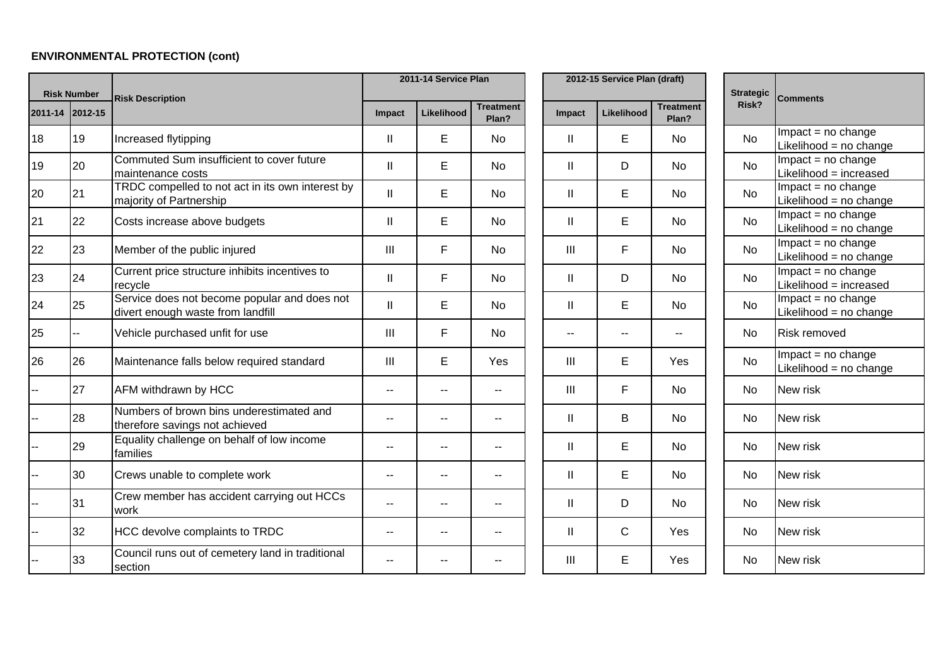# **ENVIRONMENTAL PROTECTION (cont)**

| <b>Risk Number</b> |                 | <b>Risk Description</b>                                                           |                | 2011-14 Service Plan |                           |                | 2012-15 Service Plan (draft) |                           | <b>Strategic</b> | <b>Comments</b>                                |
|--------------------|-----------------|-----------------------------------------------------------------------------------|----------------|----------------------|---------------------------|----------------|------------------------------|---------------------------|------------------|------------------------------------------------|
|                    | 2011-14 2012-15 |                                                                                   | Impact         | Likelihood           | <b>Treatment</b><br>Plan? | Impact         | Likelihood                   | <b>Treatment</b><br>Plan? | Risk?            |                                                |
| 18                 | 19              | Increased flytipping                                                              | $\mathbf{II}$  | E                    | No.                       | $\mathbf{II}$  | E                            | No                        | <b>No</b>        | $Impact = no change$<br>Likelihood = no change |
| 19                 | 20              | Commuted Sum insufficient to cover future<br>maintenance costs                    | $\mathbf{II}$  | E                    | <b>No</b>                 | $\mathbf{I}$   | D                            | <b>No</b>                 | <b>No</b>        | Impact = no change<br>Likelihood = increased   |
| 20                 | 21              | TRDC compelled to not act in its own interest by<br>majority of Partnership       | $\mathbf{II}$  | E                    | <b>No</b>                 | $\mathbf{II}$  | E                            | <b>No</b>                 | <b>No</b>        | $Impact = no change$<br>Likelihood = no change |
| 21                 | 22              | Costs increase above budgets                                                      | $\mathbf{II}$  | E                    | <b>No</b>                 | $\mathbf{I}$   | E                            | No                        | <b>No</b>        | $Impact = no change$<br>Likelihood = no change |
| 22                 | 23              | Member of the public injured                                                      | $\mathbf{III}$ | F                    | No.                       | $\mathbf{III}$ | F                            | No                        | <b>No</b>        | $Impact = no change$<br>Likelihood = no change |
| 23                 | 24              | Current price structure inhibits incentives to<br>recycle                         | $\mathbf{I}$   | F                    | No.                       | $\mathbf{H}$   | D                            | No                        | <b>No</b>        | $Impact = no change$<br>Likelihood = increased |
| 24                 | 25              | Service does not become popular and does not<br>divert enough waste from landfill | $\mathbf{II}$  | E                    | <b>No</b>                 | $\mathbf{I}$   | E                            | <b>No</b>                 | <b>No</b>        | $Impact = no change$<br>Likelihood = no change |
| 25                 |                 | Vehicle purchased unfit for use                                                   | III            | F                    | <b>No</b>                 | $\frac{1}{2}$  | $- -$                        |                           | <b>No</b>        | <b>Risk removed</b>                            |
| 26                 | 26              | Maintenance falls below required standard                                         | $\mathbf{III}$ | E                    | Yes                       | Ш              | E                            | Yes                       | <b>No</b>        | $Impact = no change$<br>Likelihood = no change |
|                    | 27              | AFM withdrawn by HCC                                                              | $-$            | --                   | $-$                       | III            | F.                           | No                        | <b>No</b>        | New risk                                       |
|                    | 28              | Numbers of brown bins underestimated and<br>therefore savings not achieved        |                | -−                   | $\overline{a}$            | Ш              | B                            | <b>No</b>                 | <b>No</b>        | New risk                                       |
|                    | 29              | Equality challenge on behalf of low income<br>families                            | --             | ۰.                   | $\overline{\phantom{m}}$  | Ш              | E                            | <b>No</b>                 | <b>No</b>        | New risk                                       |
|                    | 30              | Crews unable to complete work                                                     | $\sim$         | $\overline{a}$       | $-$                       | $\mathbf{I}$   | E                            | <b>No</b>                 | N <sub>o</sub>   | New risk                                       |
|                    | 31              | Crew member has accident carrying out HCCs<br>work                                |                |                      |                           | $\mathbf{I}$   | D                            | <b>No</b>                 | <b>No</b>        | New risk                                       |
|                    | 32              | <b>HCC devolve complaints to TRDC</b>                                             | --             | $-$                  | $\overline{a}$            | Ш              | $\mathsf{C}$                 | Yes                       | No               | New risk                                       |
|                    | 33              | Council runs out of cemetery land in traditional<br>section                       |                | --                   |                           | Ш              | E                            | Yes                       | <b>No</b>        | New risk                                       |

| <b>Strategic</b><br>Risk? | <b>Comments</b>                                |
|---------------------------|------------------------------------------------|
| N٥                        | $Impact = no change$<br>Likelihood = no change |
| N٥                        | $Impact = no change$<br>Likelihood = increased |
| N٥                        | Impact = no change<br>Likelihood = no change   |
| N٥                        | $Impact = no change$<br>Likelihood = no change |
| N٥                        | $Impact = no change$<br>Likelihood = no change |
| No                        | $Impact = no change$<br>Likelihood = increased |
| <b>No</b>                 | Impact = no change<br>Likelihood = no change   |
| N٥                        | Risk removed                                   |
| No                        | $Impact = no change$<br>Likelihood = no change |
| N٥                        | New risk                                       |
| N٥                        | New risk                                       |
| No                        | New risk                                       |
| N٥                        | New risk                                       |
| N٥                        | New risk                                       |
| N٥                        | New risk                                       |
| N٥                        | New risk                                       |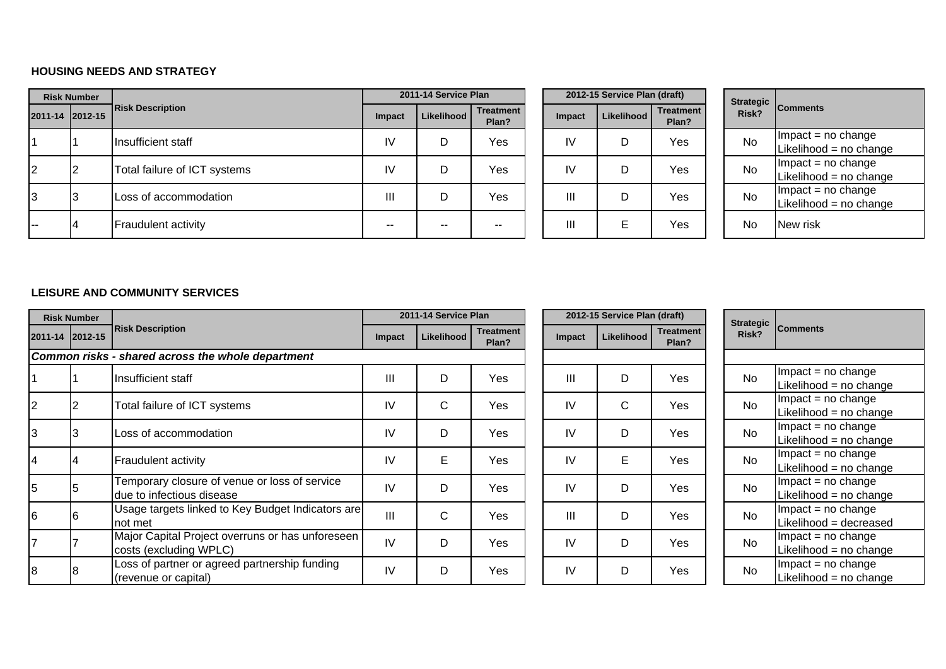### **HOUSING NEEDS AND STRATEGY**

|       | <b>Risk Number</b> |                              |                | 2011-14 Service Plan |                           |        | 2012-15 Service Plan (draft) |                           |           |                                               |
|-------|--------------------|------------------------------|----------------|----------------------|---------------------------|--------|------------------------------|---------------------------|-----------|-----------------------------------------------|
|       | 2011-14 2012-15    | <b>Risk Description</b>      | Impact         | Likelihood           | <b>Treatment</b><br>Plan? | Impact | Likelihood                   | <b>Treatment</b><br>Plan? | Risk?     | Strategic Comments                            |
|       |                    | Insufficient staff           | IV             | D                    | Yes                       | IV     |                              | Yes                       | <b>No</b> | $Im$ pact = no change<br>Likelihood = no chan |
| 2     |                    | Total failure of ICT systems | IV             | D                    | Yes                       | IV     | D                            | Yes                       | <b>No</b> | $Im$ pact = no change<br>Likelihood = no chan |
| 3     |                    | Loss of accommodation        | $\mathbf{III}$ | D                    | Yes                       | Ш      | D                            | Yes                       | <b>No</b> | $Im$ pact = no change<br>Likelihood = no chan |
| i – – |                    | <b>Fraudulent activity</b>   | $-$            | $- -$                |                           | Ш      | Е                            | Yes                       | No        | New risk                                      |

|          |               | 2012-15 Service Plan (draft) |                           |
|----------|---------------|------------------------------|---------------------------|
| ent<br>? | <b>Impact</b> | Likelihood                   | <b>Treatment</b><br>Plan? |
| ś        | IV            | D                            | Yes                       |
| ś        | IV            | D                            | Yes                       |
| ś        | Ш             | D                            | Yes                       |
|          | Ш             | E                            | Yes                       |

| <b>Strategic</b><br>Risk? | <b>Comments</b>        |
|---------------------------|------------------------|
| N٥                        | $Im$ pact = no change  |
|                           | Likelihood = no change |
| N٥                        | $Im$ pact = no change  |
|                           | Likelihood = no change |
| N٥                        | $Impact = no change$   |
|                           | Likelihood = no change |
| N٥                        | New risk               |

### **LEISURE AND COMMUNITY SERVICES**

|                 | <b>Risk Number</b> |                                                                            |                | 2011-14 Service Plan |                           |               | 2012-15 Service Plan (draft) |                           | <b>Strategic</b> |                                                   |  |
|-----------------|--------------------|----------------------------------------------------------------------------|----------------|----------------------|---------------------------|---------------|------------------------------|---------------------------|------------------|---------------------------------------------------|--|
| 2011-14 2012-15 |                    | <b>Risk Description</b>                                                    | Impact         | Likelihood l         | <b>Treatment</b><br>Plan? | <b>Impact</b> | Likelihood I                 | <b>Treatment</b><br>Plan? | Risk?            | <b>Comments</b>                                   |  |
|                 |                    | Common risks - shared across the whole department                          |                |                      |                           |               |                              |                           |                  |                                                   |  |
|                 |                    | Insufficient staff                                                         | Ш              | D                    | Yes                       | Ш             | D                            | Yes                       | <b>No</b>        | $Im$ pact = no change<br>Likelihood = no change   |  |
| 2               |                    | Total failure of ICT systems                                               | IV             | C                    | Yes                       | IV            | C                            | Yes                       | <b>No</b>        | $Im$ pact = no change<br>Likelihood = $no$ change |  |
|                 | ۍ                  | Loss of accommodation                                                      | IV             | D                    | Yes                       | IV            | D                            | Yes                       | <b>No</b>        | $Im$ pact = no change<br>Likelihood = no change   |  |
|                 |                    | Fraudulent activity                                                        | IV             | E                    | Yes                       | IV            | E                            | Yes                       | <b>No</b>        | $Im$ pact = no change<br>Likelihood = no change   |  |
| 15              |                    | Temporary closure of venue or loss of service<br>due to infectious disease | IV             | D                    | Yes                       | IV            | D                            | Yes                       | <b>No</b>        | $Im$ pact = no change<br>Likelihood = $no$ change |  |
| 16              |                    | Usage targets linked to Key Budget Indicators are<br>Inot met              | $\mathbf{III}$ | C                    | Yes                       | Ш             | D                            | Yes                       | <b>No</b>        | $Im$ pact = no change<br>Likelihood = decreased   |  |
|                 |                    | Major Capital Project overruns or has unforeseen<br>costs (excluding WPLC) | IV             | D                    | Yes                       | IV            | D                            | Yes                       | <b>No</b>        | $Im$ pact = no change<br>Likelihood = $no$ change |  |
|                 |                    | Loss of partner or agreed partnership funding<br>(revenue or capital)      | IV             | D                    | Yes                       | IV            | D                            | Yes                       | <b>No</b>        | $Im$ pact = no change<br>Likelihood = no change   |  |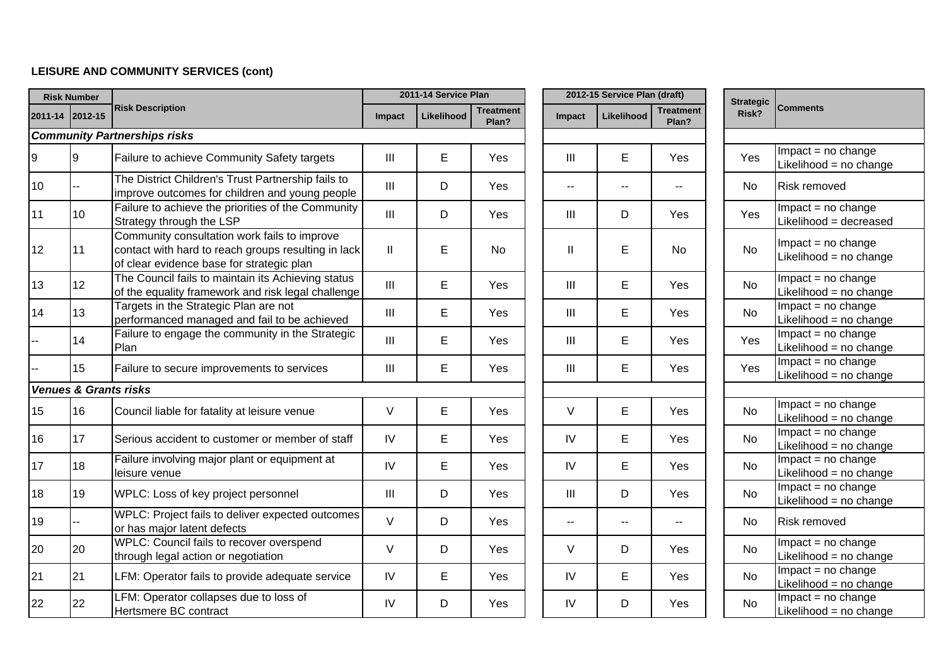## **LEISURE AND COMMUNITY SERVICES (cont)**

| <b>Risk Number</b> |                                  |                                                                                                                                                  |                                    | 2011-14 Service Plan |                    |        | 2012-15 Service Plan (draft) |                    | <b>Strategic</b> |                                                |  |
|--------------------|----------------------------------|--------------------------------------------------------------------------------------------------------------------------------------------------|------------------------------------|----------------------|--------------------|--------|------------------------------|--------------------|------------------|------------------------------------------------|--|
|                    | 2011-14 2012-15                  | <b>Risk Description</b>                                                                                                                          | Impact                             | <b>Likelihood</b>    | Treatment<br>Plan? | Impact | Likelihood                   | Treatment<br>Plan? | Risk?            | <b>Comments</b>                                |  |
|                    |                                  | <b>Community Partnerships risks</b>                                                                                                              |                                    |                      |                    |        |                              |                    |                  |                                                |  |
| 9                  | 9                                | Failure to achieve Community Safety targets                                                                                                      | $\mathbf{III}$                     | E                    | Yes                | Ш      | E                            | Yes                | <b>Yes</b>       | Impact = no change<br>Likelihood = no change   |  |
| 10                 |                                  | The District Children's Trust Partnership fails to<br>improve outcomes for children and young people                                             | III                                | D                    | Yes                | $- -$  | --                           | $\overline{a}$     | No.              | <b>Risk removed</b>                            |  |
| 11                 | 10                               | Failure to achieve the priorities of the Community<br>Strategy through the LSP                                                                   | $\mathbf{III}$                     | D                    | Yes                | Ш      | D                            | Yes                | Yes              | $Impact = no change$<br>Likelihood = decreased |  |
| 12                 | 11                               | Community consultation work fails to improve<br>contact with hard to reach groups resulting in lack<br>of clear evidence base for strategic plan | $\mathbf{  }$                      | E                    | <b>No</b>          | Ш      | E                            | <b>No</b>          | <b>No</b>        | Impact = no change<br>Likelihood = no change   |  |
| 13                 | 12                               | The Council fails to maintain its Achieving status<br>of the equality framework and risk legal challenge                                         | III                                | E                    | Yes                | Ш      | E                            | Yes                | <b>No</b>        | Impact = no change<br>Likelihood = no change   |  |
| 14                 | 13                               | Targets in the Strategic Plan are not<br>performanced managed and fail to be achieved                                                            | III                                | E                    | Yes                | Ш      | E                            | Yes                | <b>No</b>        | $Impact = no change$<br>Likelihood = no change |  |
| $-$                | 14                               | Failure to engage the community in the Strategic<br>Plan                                                                                         | III                                | E                    | Yes                | Ш      | E                            | Yes                | Yes              | $Impact = no change$<br>Likelihood = no change |  |
|                    | 15                               | Failure to secure improvements to services                                                                                                       | Ш                                  | E                    | Yes                | Ш      | E                            | Yes                | Yes              | $Impact = no change$<br>Likelihood = no change |  |
|                    | <b>Venues &amp; Grants risks</b> |                                                                                                                                                  |                                    |                      |                    |        |                              |                    |                  |                                                |  |
| 15                 | 16                               | Council liable for fatality at leisure venue                                                                                                     | V                                  | E                    | Yes                | $\vee$ | E                            | Yes                | <b>No</b>        | $Impact = no change$<br>Likelihood = no change |  |
| 16                 | 17                               | Serious accident to customer or member of staff                                                                                                  | IV                                 | E                    | Yes                | IV     | E                            | Yes                | <b>No</b>        | $Impact = no change$<br>Likelihood = no change |  |
| 17                 | 18                               | Failure involving major plant or equipment at<br>leisure venue                                                                                   | IV                                 | E                    | Yes                | IV     | E                            | Yes                | <b>No</b>        | $Impact = no change$<br>Likelihood = no change |  |
| 18                 | 19                               | WPLC: Loss of key project personnel                                                                                                              | $\ensuremath{\mathsf{III}}\xspace$ | D                    | Yes                | Ш      | D                            | Yes                | <b>No</b>        | $Impact = no change$<br>Likelihood = no change |  |
| 19                 |                                  | WPLC: Project fails to deliver expected outcomes<br>or has major latent defects                                                                  | $\vee$                             | D                    | Yes                | н.     | --                           | --                 | No.              | <b>Risk removed</b>                            |  |
| 20                 | 20                               | WPLC: Council fails to recover overspend<br>through legal action or negotiation                                                                  | $\vee$                             | D                    | Yes                | V      | D                            | Yes                | <b>No</b>        | $Impact = no change$<br>Likelihood = no change |  |
| 21                 | 21                               | LFM: Operator fails to provide adequate service                                                                                                  | IV                                 | E                    | Yes                | IV     | E                            | Yes                | <b>No</b>        | $Impact = no change$<br>Likelihood = no change |  |
| 22                 | 22                               | LFM: Operator collapses due to loss of<br>Hertsmere BC contract                                                                                  | IV                                 | D                    | Yes                | IV     | D                            | Yes                | No               | $Impact = no change$<br>Likelihood = no change |  |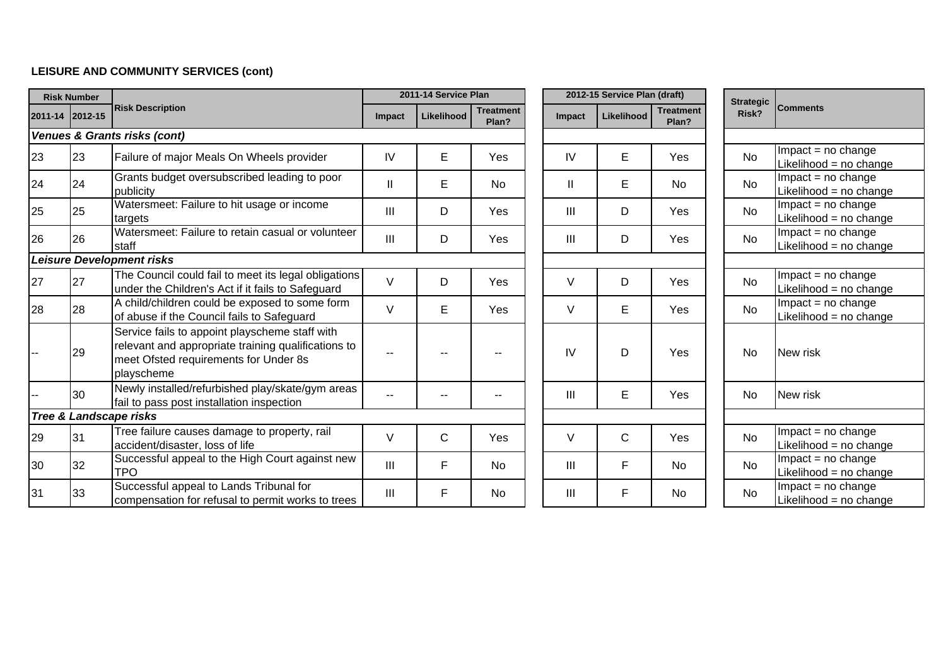## **LEISURE AND COMMUNITY SERVICES (cont)**

|    | <b>Risk Number</b> |                                                                                                                                                              |                | 2011-14 Service Plan |                           |                | 2012-15 Service Plan (draft) |                           | <b>Strategic</b> |           |                                                  |  |
|----|--------------------|--------------------------------------------------------------------------------------------------------------------------------------------------------------|----------------|----------------------|---------------------------|----------------|------------------------------|---------------------------|------------------|-----------|--------------------------------------------------|--|
|    | 2011-14 2012-15    | <b>Risk Description</b>                                                                                                                                      | <b>Impact</b>  | Likelihood           | <b>Treatment</b><br>Plan? | Impact         | <b>Likelihood</b>            | <b>Treatment</b><br>Plan? |                  | Risk?     | <b>Comments</b>                                  |  |
|    |                    | Venues & Grants risks (cont)                                                                                                                                 |                |                      |                           |                |                              |                           |                  |           |                                                  |  |
| 23 | 23                 | Failure of major Meals On Wheels provider                                                                                                                    | IV             | Е                    | Yes                       | IV             | Е                            | Yes                       |                  | <b>No</b> | $Impact = no change$<br>Likelihood = $no$ change |  |
| 24 | 24                 | Grants budget oversubscribed leading to poor<br>publicity                                                                                                    | $\mathbf{I}$   | E                    | <b>No</b>                 | $\mathbf{I}$   | Е                            | <b>No</b>                 |                  | <b>No</b> | $Impact = no change$<br>Likelihood = $no$ change |  |
| 25 | 25                 | Watersmeet: Failure to hit usage or income<br>targets                                                                                                        | $\mathbf{III}$ | D                    | Yes                       | III            | D                            | Yes                       |                  | No        | $Impact = no change$<br>Likelihood = no change   |  |
| 26 | 26                 | Watersmeet: Failure to retain casual or volunteer<br>staff                                                                                                   | III            | D                    | Yes                       | $\mathbf{III}$ | D                            | Yes                       |                  | <b>No</b> | $Impact = no change$<br>Likelihood = $no$ change |  |
|    |                    | <b>Leisure Development risks</b>                                                                                                                             |                |                      |                           |                |                              |                           |                  |           |                                                  |  |
| 27 | 27                 | The Council could fail to meet its legal obligations<br>under the Children's Act if it fails to Safeguard                                                    | $\vee$         | D                    | Yes                       | V              | D                            | Yes                       |                  | <b>No</b> | $Impact = no change$<br>Likelihood = no change   |  |
| 28 | 28                 | A child/children could be exposed to some form<br>of abuse if the Council fails to Safeguard                                                                 | $\vee$         | E                    | <b>Yes</b>                | V              | E                            | Yes                       |                  | <b>No</b> | $Impact = no change$<br>Likelihood = no change   |  |
|    | 29                 | Service fails to appoint playscheme staff with<br>relevant and appropriate training qualifications to<br>meet Ofsted requirements for Under 8s<br>playscheme |                |                      |                           | IV             | D                            | Yes                       |                  | <b>No</b> | New risk                                         |  |
|    | 30                 | Newly installed/refurbished play/skate/gym areas<br>fail to pass post installation inspection                                                                | $\sim$ $\sim$  |                      |                           | III            | E                            | Yes                       |                  | <b>No</b> | New risk                                         |  |
|    |                    | <b>Tree &amp; Landscape risks</b>                                                                                                                            |                |                      |                           |                |                              |                           |                  |           |                                                  |  |
| 29 | 31                 | Tree failure causes damage to property, rail<br>accident/disaster, loss of life                                                                              | V              | $\mathsf{C}$         | Yes                       | V              | C                            | Yes                       |                  | <b>No</b> | $Impact = no change$<br>Likelihood = no change   |  |
| 30 | 32                 | Successful appeal to the High Court against new<br><b>TPO</b>                                                                                                | III            | F                    | <b>No</b>                 | III            | F                            | <b>No</b>                 |                  | <b>No</b> | $Impact = no change$<br>Likelihood = $no$ change |  |
| 31 | 33                 | Successful appeal to Lands Tribunal for<br>compensation for refusal to permit works to trees                                                                 | III            | F                    | <b>No</b>                 | $\mathbf{III}$ | F                            | <b>No</b>                 |                  | <b>No</b> | $Impact = no change$<br>Likelihood = no change   |  |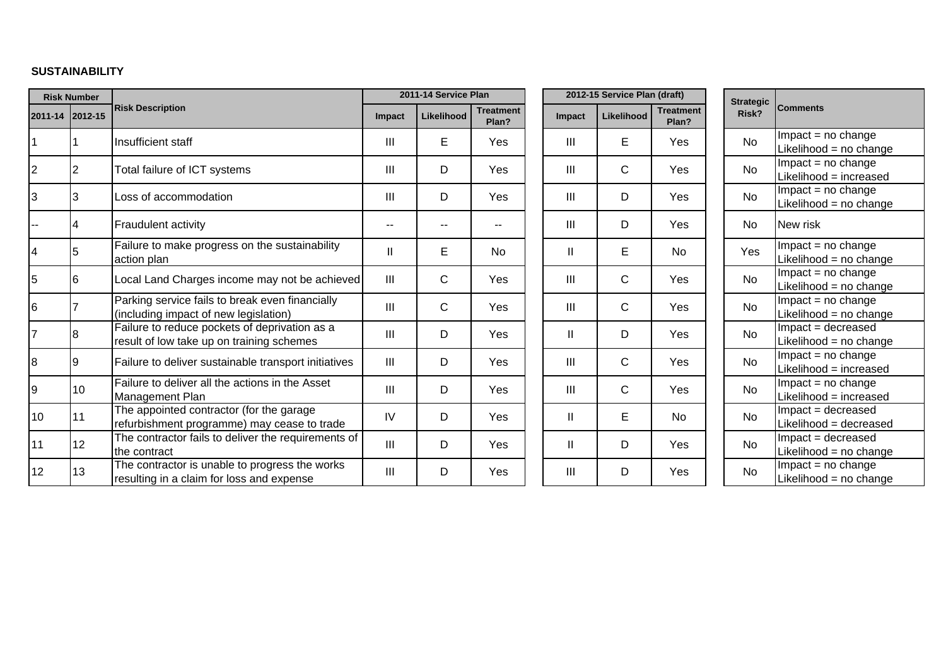### **SUSTAINABILITY**

| <b>Risk Number</b> |                 |                                                                                             |               | 2011-14 Service Plan |                           |              | 2012-15 Service Plan (draft) |                           | <b>Strategic</b> |                                                 |
|--------------------|-----------------|---------------------------------------------------------------------------------------------|---------------|----------------------|---------------------------|--------------|------------------------------|---------------------------|------------------|-------------------------------------------------|
|                    | 2011-14 2012-15 | <b>Risk Description</b>                                                                     | <b>Impact</b> | Likelihood           | <b>Treatment</b><br>Plan? | Impact       | Likelihood                   | <b>Treatment</b><br>Plan? | Risk?            | <b>Comments</b>                                 |
|                    |                 | Insufficient staff                                                                          | III           | E                    | Yes                       | Ш            | E                            | Yes                       | <b>No</b>        | $Im$ pact = no change<br>Likelihood = no change |
| $\overline{c}$     | 2               | Total failure of ICT systems                                                                | III           | D                    | Yes                       | Ш            | $\mathsf{C}$                 | Yes                       | <b>No</b>        | $Impact = no change$<br>Likelihood = increased  |
| 3                  | 3               | Loss of accommodation                                                                       | III           | D                    | Yes                       | Ш            | D                            | Yes                       | <b>No</b>        | $Im$ pact = no change<br>Likelihood = no change |
|                    | 4               | <b>Fraudulent activity</b>                                                                  |               |                      |                           | Ш            | D                            | Yes                       | No               | New risk                                        |
| 4                  | 5               | Failure to make progress on the sustainability<br>action plan                               | $\mathsf{I}$  | E                    | <b>No</b>                 | $\mathbf{I}$ | E                            | <b>No</b>                 | Yes              | Impact = no change<br>Likelihood = no change    |
| 5                  | 6               | Local Land Charges income may not be achieved                                               | III           | C                    | Yes                       | III          | $\mathsf{C}$                 | Yes                       | <b>No</b>        | Impact = no change<br>Likelihood = no change    |
| 6                  |                 | Parking service fails to break even financially<br>(including impact of new legislation)    | III           | C                    | Yes                       | III          | $\mathsf{C}$                 | Yes                       | No               | $Im$ pact = no change<br>Likelihood = no change |
| $\overline{7}$     | 8               | Failure to reduce pockets of deprivation as a<br>result of low take up on training schemes  | III           | D                    | Yes                       | Ш            | D                            | Yes                       | <b>No</b>        | Impact = decreased<br>Likelihood = no change    |
| 8                  | Ι9              | Failure to deliver sustainable transport initiatives                                        | Ш             | D                    | Yes                       | Ш            | $\mathsf{C}$                 | Yes                       | <b>No</b>        | $Im$ pact = no change<br>Likelihood = increased |
| 9                  | 10              | Failure to deliver all the actions in the Asset<br><b>Management Plan</b>                   | III           | D                    | Yes                       | Ш            | $\mathsf{C}$                 | <b>Yes</b>                | <b>No</b>        | $Impact = no change$<br>Likelihood = increased  |
| 10                 | 11              | The appointed contractor (for the garage<br>refurbishment programme) may cease to trade     | IV            | D                    | Yes                       | $\mathbf{I}$ | E                            | <b>No</b>                 | <b>No</b>        | Impact = decreased<br>Likelihood = decreased    |
| 11                 | 12              | The contractor fails to deliver the requirements of<br>the contract                         | III           | D                    | Yes                       | Ш            | D                            | Yes                       | <b>No</b>        | Impact = decreased<br>Likelihood = no change    |
| 12                 | 13              | The contractor is unable to progress the works<br>resulting in a claim for loss and expense | III           | D                    | Yes                       | Ш            | D                            | Yes                       | <b>No</b>        | $Impact = no change$<br>Likelihood = no change  |

| <b>Strategic</b><br>Risk? | <b>Comments</b>                                |
|---------------------------|------------------------------------------------|
| Nο                        | $Impact = no change$<br>Likelihood = no change |
| No                        | $Impact = no change$<br>Likelihood = increased |
| No                        | $Impact = no change$<br>Likelihood = no change |
| No                        | New risk                                       |
| Yes                       | Impact = no change<br>Likelihood = no change   |
| No                        | $Impact = no change$<br>Likelihood = no change |
| Nο                        | $Impact = no change$<br>Likelihood = no change |
| Nο                        | Impact = decreased<br>Likelihood = no change   |
| No                        | $Impact = no change$<br>Likelihood = increased |
| No                        | $Impact = no change$<br>Likelihood = increased |
| No                        | Impact = decreased<br>Likelihood = decreased   |
| N٥                        | Impact = decreased<br>Likelihood = no change   |
| N٥                        | $Impact = no change$<br>Likelihood = no change |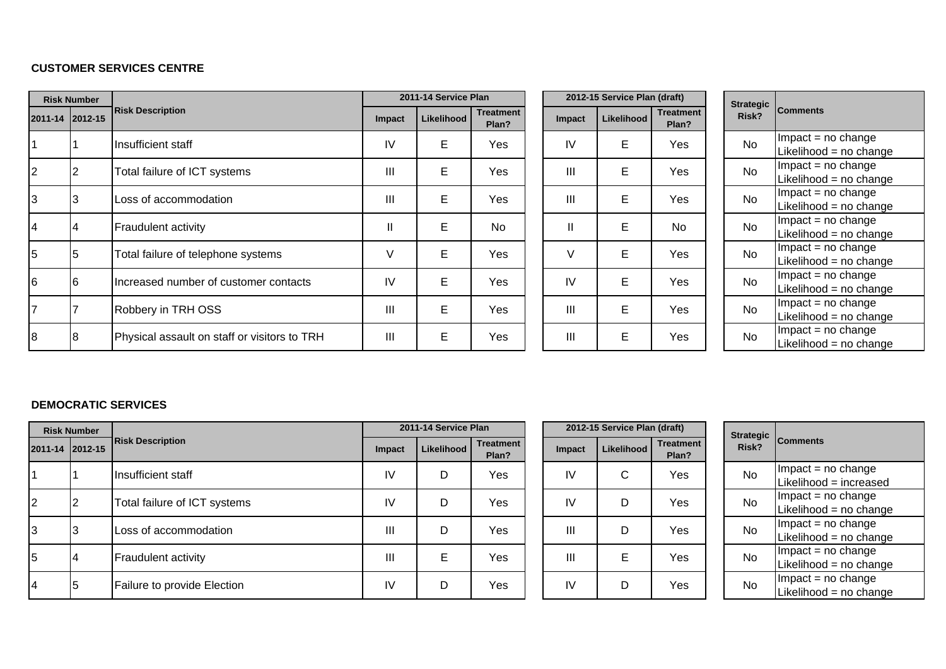### **CUSTOMER SERVICES CENTRE**

| <b>Risk Number</b> |     |                                              |        | 2011-14 Service Plan |                           |              | 2012-15 Service Plan (draft) |                           | <b>Strategic</b> |                                               |
|--------------------|-----|----------------------------------------------|--------|----------------------|---------------------------|--------------|------------------------------|---------------------------|------------------|-----------------------------------------------|
| 2011-14 2012-15    |     | <b>Risk Description</b>                      | Impact | Likelihood           | <b>Treatment</b><br>Plan? | Impact       | Likelihood                   | <b>Treatment</b><br>Plan? | Risk?            | <b>Comments</b>                               |
|                    |     | Insufficient staff                           | IV     | E                    | Yes                       | IV           | E                            | Yes                       | <b>No</b>        | $Im$ pact = no change<br>Likelihood = no chan |
| $\overline{2}$     | ∠   | Total failure of ICT systems                 | III    | E                    | Yes                       | Ш            | E                            | Yes                       | <b>No</b>        | $Im$ pact = no change<br>Likelihood = no chan |
| 3                  | ڙ.ا | Loss of accommodation                        | III    | E                    | Yes                       | Ш            | E                            | Yes                       | <b>No</b>        | $Im$ pact = no change<br>Likelihood = no chan |
| 14                 | 4   | Fraudulent activity                          | Ш      | E                    | No                        | $\mathbf{I}$ | E                            | No                        | <b>No</b>        | $Im$ pact = no change<br>Likelihood = no chan |
| 5                  | 5   | Total failure of telephone systems           | V      | E                    | Yes                       | V            | E                            | Yes                       | <b>No</b>        | $Im$ pact = no change<br>Likelihood = no chan |
| 6                  | 6   | Increased number of customer contacts        | IV     | E                    | Yes                       | IV           | E                            | Yes                       | <b>No</b>        | $Im$ pact = no change<br>Likelihood = no chan |
| $\overline{7}$     |     | Robbery in TRH OSS                           | III    | E                    | Yes                       | Ш            | E                            | Yes                       | <b>No</b>        | $Im$ pact = no change<br>Likelihood = no chan |
| 8                  |     | Physical assault on staff or visitors to TRH | III    | E                    | Yes                       | Ш            | E                            | Yes                       | <b>No</b>        | $Im$ pact = no change<br>Likelihood = no chan |

|          |               | 2012-15 Service Plan (draft) |                           | <b>Strategic</b> |
|----------|---------------|------------------------------|---------------------------|------------------|
| ent<br>? | <b>Impact</b> | Likelihood                   | <b>Treatment</b><br>Plan? | Risk?            |
| ś        | IV            | Е                            | Yes                       | No               |
| ś        | Ш             | E                            | Yes                       | No               |
| Š        | $\mathbf{  }$ | E                            | Yes                       | No               |
|          | $\mathsf{I}$  | E                            | No                        | No               |
| ś        | V             | Е                            | Yes                       | No               |
| ś        | IV            | E                            | Yes                       | No               |
| ś        | Ш             | E                            | Yes                       | No               |
| ś        | $\mathbf{  }$ | E                            | Yes                       | No               |

| <b>Strategic</b><br>Risk? | <b>Comments</b>          |
|---------------------------|--------------------------|
| N٥                        | $Impact = no change$     |
|                           | Likelihood = no change   |
| N٥                        | $Impact = no change$     |
|                           | Likelihood = no change   |
| No                        | $Impact = no change$     |
|                           | Likelihood = no change   |
| No                        | $Impact = no change$     |
|                           | Likelihood = no change   |
|                           | $Impact = no change$     |
| No                        | Likelihood = no change   |
| No                        | $Impact = no change$     |
|                           | Likelihood = $no$ change |
| No                        | $Impact = no change$     |
|                           | Likelihood = no change   |
|                           | Impact = no change       |
| N٥                        | Likelihood = no change   |

### **DEMOCRATIC SERVICES**

|                 | <b>Risk Number</b> |                              |               | 2011-14 Service Plan |                           |  |           | 2012-15 Service Plan (draft) |                           | Strategic |                                                |
|-----------------|--------------------|------------------------------|---------------|----------------------|---------------------------|--|-----------|------------------------------|---------------------------|-----------|------------------------------------------------|
| 2011-14 2012-15 |                    | <b>Risk Description</b>      | <b>Impact</b> | Likelihood           | <b>Treatment</b><br>Plan? |  | Impact    | Likelihood                   | <b>Treatment</b><br>Plan? | Risk?     | <b>Comments</b>                                |
|                 |                    | Insufficient staff           | IV            | D                    | Yes                       |  | IV        | С                            | Yes                       | <b>No</b> | $Im$ pact = no change<br>Likelihood = increase |
| $\overline{2}$  |                    | Total failure of ICT systems | IV            | D                    | Yes                       |  | <b>IV</b> | D                            | Yes                       | <b>No</b> | $Im$ pact = no change<br>Likelihood = no chan  |
| 3               |                    | Loss of accommodation        | Ш             | D                    | Yes                       |  | Ш         | D                            | Yes                       | No        | $Im$ pact = no change<br>Likelihood = no chan  |
| 5               |                    | <b>Fraudulent activity</b>   | Ш             | E                    | Yes                       |  | Ш         | E                            | Yes                       | <b>No</b> | $Im$ pact = no change<br>Likelihood = no chan  |
| 4               |                    | Failure to provide Election  | IV            | D                    | Yes                       |  | <b>IV</b> | D                            | Yes                       | <b>No</b> | $Im$ pact = no change<br>Likelihood = no chan  |

|          |        | 2012-15 Service Plan (draft) |                           | <b>Strategic</b> |
|----------|--------|------------------------------|---------------------------|------------------|
| ent<br>? | Impact | Likelihood                   | <b>Treatment</b><br>Plan? | Risk?            |
| ś        | IV     | С                            | Yes                       | No               |
| ś        | IV     | n                            | Yes                       | No               |
| ś        | Ш      |                              | Yes                       | No               |
| ś        | Ш      | E                            | Yes                       | No               |
| ś        | IV     |                              | Yes                       | No               |

| Strategic<br>Risk? | <b>Comments</b>          |
|--------------------|--------------------------|
| N٥                 | $Im$ pact = no change    |
|                    | Likelihood = increased   |
| Nο                 | $Impact = no change$     |
|                    | Likelihood = $no$ change |
| N٥                 | $Impact = no change$     |
|                    | Likelihood = no change   |
| N٥                 | $Impact = no change$     |
|                    | Likelihood = $no$ change |
| N٥                 | $Impact = no change$     |
|                    | Likelihood = $no$ change |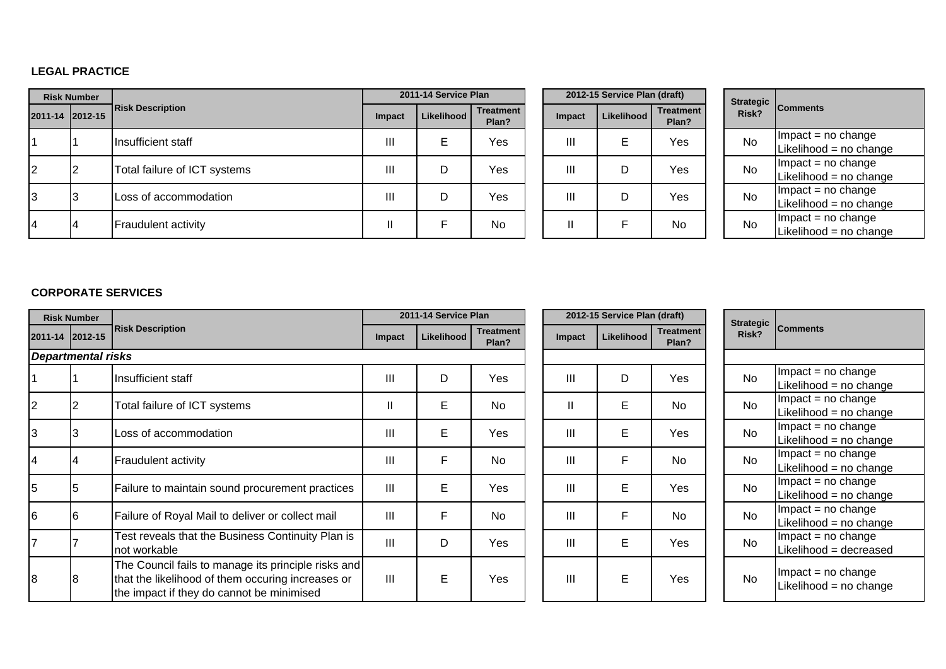### **LEGAL PRACTICE**

|                | <b>Risk Number</b> |                              |        | 2011-14 Service Plan |                           |  |        | 2012-15 Service Plan (draft) |                           |           |                                               |
|----------------|--------------------|------------------------------|--------|----------------------|---------------------------|--|--------|------------------------------|---------------------------|-----------|-----------------------------------------------|
|                | 2011-14 2012-15    | <b>Risk Description</b>      | Impact | Likelihood           | <b>Treatment</b><br>Plan? |  | Impact | Likelihood                   | <b>Treatment</b><br>Plan? | Risk?     | Strategic Comments                            |
|                |                    | Insufficient staff           | Ш      | Е                    | Yes                       |  | Ш      | E                            | Yes                       | <b>No</b> | $Im$ pact = no change<br>Likelihood = no chan |
| 2              |                    | Total failure of ICT systems | III    | D                    | Yes                       |  | Ш      |                              | Yes                       | <b>No</b> | $Im$ pact = no change<br>Likelihood = no chan |
| 3              |                    | Loss of accommodation        | Ш      | D                    | Yes                       |  | Ш      | D                            | Yes                       | No        | $Im$ pact = no change<br>Likelihood = no chan |
| $\overline{4}$ |                    | <b>Fraudulent activity</b>   |        |                      | No                        |  |        |                              | No                        | <b>No</b> | $Im$ pact = no change<br>Likelihood = no chan |

|    | 2011-14 Service Plan |                           |  |               | 2012-15 Service Plan (draft) |     |
|----|----------------------|---------------------------|--|---------------|------------------------------|-----|
| .t | Likelihood           | <b>Treatment</b><br>Plan? |  | <b>Impact</b> | <b>Treatment</b><br>Plan?    |     |
|    | Е                    | Yes                       |  | Ш             | Е                            | Yes |
|    | D                    | Yes                       |  | Ш             |                              | Yes |
|    | D                    | Yes                       |  | Ш             |                              | Yes |
|    | F                    | No                        |  |               | F                            | No  |

| <b>Strategic</b><br>Risk? | <b>Comments</b>        |
|---------------------------|------------------------|
| N٥                        | $Im$ pact = no change  |
|                           | Likelihood = no change |
| N٥                        | $Im$ pact = no change  |
|                           | Likelihood = no change |
| N٥                        | $Impact = no change$   |
|                           | Likelihood = no change |
| N٥                        | $Impact = no change$   |
|                           | Likelihood = no change |

### **CORPORATE SERVICES**

| <b>Risk Number</b>        |                                                                                                                                                       |                | 2011-14 Service Plan |                           |               | 2012-15 Service Plan (draft) |                           | <b>Strategic</b> |                                                   |
|---------------------------|-------------------------------------------------------------------------------------------------------------------------------------------------------|----------------|----------------------|---------------------------|---------------|------------------------------|---------------------------|------------------|---------------------------------------------------|
| 2011-14 2012-15           | <b>Risk Description</b>                                                                                                                               | <b>Impact</b>  | Likelihood           | <b>Treatment</b><br>Plan? | <b>Impact</b> | Likelihood                   | <b>Treatment</b><br>Plan? | Risk?            | <b>Comments</b>                                   |
| <b>Departmental risks</b> |                                                                                                                                                       |                |                      |                           |               |                              |                           |                  |                                                   |
|                           | Insufficient staff                                                                                                                                    | III            | D                    | Yes                       | III           | D                            | Yes                       | <b>No</b>        | $Im$ pact = no change<br>Likelihood = no change   |
| 2                         | Total failure of ICT systems                                                                                                                          | Ш              | E                    | <b>No</b>                 |               | E                            | No                        | <b>No</b>        | $Im$ pact = no change<br>Likelihood = $no$ change |
| l3                        | Loss of accommodation                                                                                                                                 | III            | E                    | Yes                       | III           | E                            | Yes                       | <b>No</b>        | $Im$ pact = no change<br>Likelihood = no change   |
| 14                        | Fraudulent activity                                                                                                                                   | III            | F                    | <b>No</b>                 | Ш             | F                            | N <sub>o</sub>            | <b>No</b>        | $Im$ pact = no change<br>Likelihood = no change   |
| 5                         | Failure to maintain sound procurement practices                                                                                                       | $\mathbf{III}$ | E                    | Yes                       | Ш             | E                            | Yes                       | <b>No</b>        | $Im$ pact = no change<br>Likelihood = $no$ change |
| 16                        | Failure of Royal Mail to deliver or collect mail                                                                                                      | III            | F                    | <b>No</b>                 | Ш             | E                            | No                        | <b>No</b>        | $Im$ pact = no change<br>Likelihood = $no$ change |
|                           | Test reveals that the Business Continuity Plan is<br>not workable                                                                                     | III            | D                    | Yes                       | Ш             | E                            | Yes                       | <b>No</b>        | $Im$ pact = no change<br>Likelihood = decreased   |
| 18                        | The Council fails to manage its principle risks and<br>that the likelihood of them occuring increases or<br>the impact if they do cannot be minimised | III            | Е                    | Yes                       | III           | E                            | <b>Yes</b>                | <b>No</b>        | $Im$ pact = no change<br>Likelihood = no change   |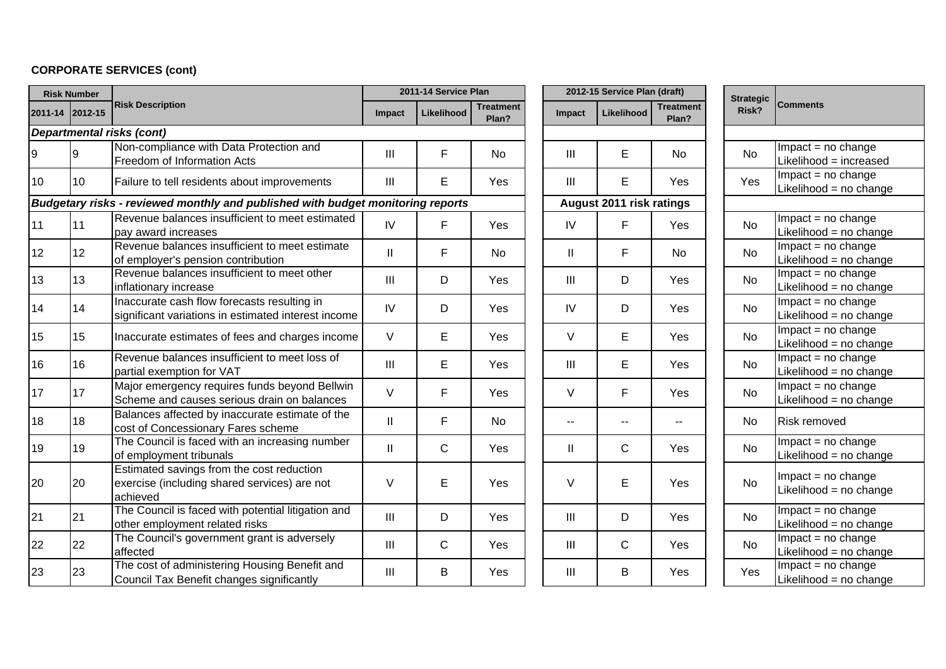# **CORPORATE SERVICES (cont)**

|              | <b>Risk Number</b> |                                                                                                       |                            | 2011-14 Service Plan |                           |               | 2012-15 Service Plan (draft) |                           | <b>Strategic</b> |                                                |
|--------------|--------------------|-------------------------------------------------------------------------------------------------------|----------------------------|----------------------|---------------------------|---------------|------------------------------|---------------------------|------------------|------------------------------------------------|
|              | 2011-14 2012-15    | <b>Risk Description</b>                                                                               | <b>Impact</b>              | Likelihood           | <b>Treatment</b><br>Plan? | <b>Impact</b> | Likelihood                   | <b>Treatment</b><br>Plan? | Risk?            | <b>Comments</b>                                |
|              |                    | <b>Departmental risks (cont)</b>                                                                      |                            |                      |                           |               |                              |                           |                  |                                                |
|              | 9                  | Non-compliance with Data Protection and<br>Freedom of Information Acts                                | III                        | F                    | No                        | Ш             | E                            | No                        | <b>No</b>        | $Impact = no change$<br>Likelihood = increased |
| 10           | 10                 | Failure to tell residents about improvements                                                          | III                        | E                    | Yes                       | Ш             | E                            | Yes                       | Yes              | $Impact = no change$<br>Likelihood = no change |
|              |                    | Budgetary risks - reviewed monthly and published with budget monitoring reports                       |                            |                      |                           |               | August 2011 risk ratings     |                           |                  |                                                |
| 11           | 11                 | Revenue balances insufficient to meet estimated<br>pay award increases                                | IV                         | F                    | Yes                       | IV            | F                            | Yes                       | <b>No</b>        | $Impact = no change$<br>Likelihood = no change |
| 12           | 12                 | Revenue balances insufficient to meet estimate<br>of employer's pension contribution                  | $\ensuremath{\mathsf{II}}$ | F                    | <b>No</b>                 | Ш.            | F                            | <b>No</b>                 | <b>No</b>        | Impact = no change<br>Likelihood = no change   |
| $ 13\rangle$ | 13                 | Revenue balances insufficient to meet other<br>inflationary increase                                  | $\mathbf{III}$             | D                    | Yes                       | III           | D                            | Yes                       | <b>No</b>        | Impact = no change<br>Likelihood = no change   |
| 14           | 14                 | Inaccurate cash flow forecasts resulting in<br>significant variations in estimated interest income    | IV                         | D                    | Yes                       | IV            | D                            | Yes                       | <b>No</b>        | $Impact = no change$<br>Likelihood = no change |
| 15           | 15                 | Inaccurate estimates of fees and charges income                                                       | V                          | E                    | Yes                       | V             | E                            | Yes                       | No               | $Impact = no change$<br>Likelihood = no change |
| 16           | 16                 | Revenue balances insufficient to meet loss of<br>partial exemption for VAT                            | III                        | E                    | Yes                       | III           | E                            | Yes                       | No               | $Impact = no change$<br>Likelihood = no change |
| 17           | 17                 | Major emergency requires funds beyond Bellwin<br>Scheme and causes serious drain on balances          | V                          | F                    | Yes                       | V             | F                            | Yes                       | <b>No</b>        | $Impact = no change$<br>Likelihood = no change |
| 18           | 18                 | Balances affected by inaccurate estimate of the<br>cost of Concessionary Fares scheme                 | $\mathbf{II}$              | F                    | <b>No</b>                 | $-$           | $\sim$                       | $\overline{a}$            | <b>No</b>        | <b>Risk removed</b>                            |
| 19           | 19                 | The Council is faced with an increasing number<br>of employment tribunals                             | $\mathbf{I}$               | C                    | Yes                       | Ш             | $\mathsf{C}$                 | Yes                       | <b>No</b>        | $Impact = no change$<br>Likelihood = no change |
| 20           | 20                 | Estimated savings from the cost reduction<br>exercise (including shared services) are not<br>achieved | V                          | E                    | Yes                       | V             | E                            | Yes                       | <b>No</b>        | $Impact = no change$<br>Likelihood = no change |
| 21           | 21                 | The Council is faced with potential litigation and<br>other employment related risks                  | $\mathbf{III}$             | D                    | Yes                       | III           | D                            | Yes                       | <b>No</b>        | Impact = no change<br>Likelihood = no change   |
| 22           | 22                 | The Council's government grant is adversely<br>affected                                               | $\mathbf{III}$             | C                    | Yes                       | III           | $\mathsf{C}$                 | Yes                       | <b>No</b>        | $Impact = no change$<br>Likelihood = no change |
| 23           | 23                 | The cost of administering Housing Benefit and<br>Council Tax Benefit changes significantly            | III                        | B                    | Yes                       | III           | B                            | Yes                       | Yes              | $Impact = no change$<br>Likelihood = no change |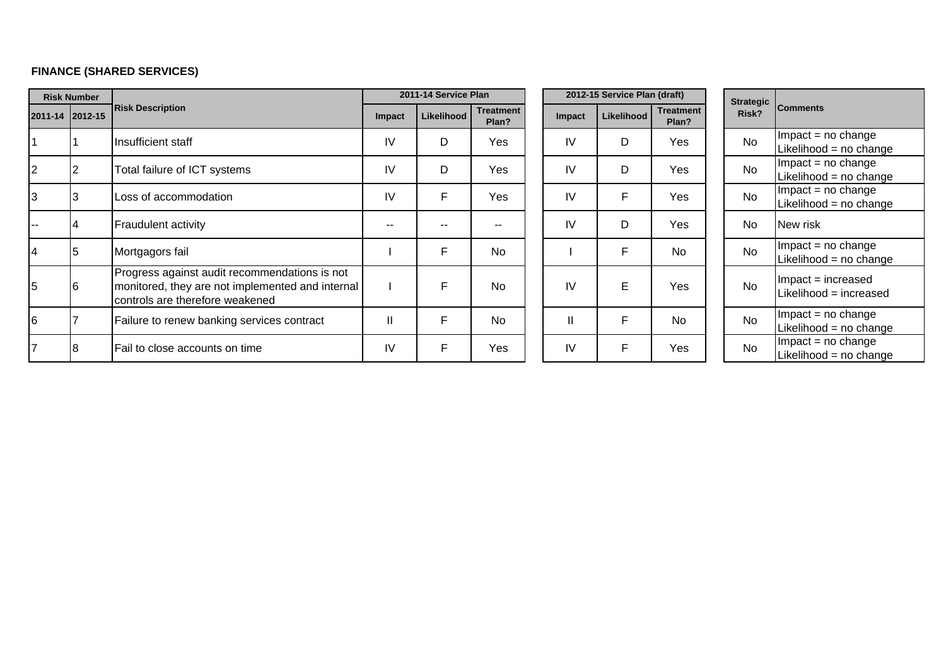# **FINANCE (SHARED SERVICES)**

|                 | <b>Risk Number</b> |                                                                                                                                      |           | 2011-14 Service Plan |                           |              | 2012-15 Service Plan (draft) |                           | <b>Strategic</b> |                                                |
|-----------------|--------------------|--------------------------------------------------------------------------------------------------------------------------------------|-----------|----------------------|---------------------------|--------------|------------------------------|---------------------------|------------------|------------------------------------------------|
| 2011-14 2012-15 |                    | <b>Risk Description</b>                                                                                                              | Impact    | Likelihood           | <b>Treatment</b><br>Plan? | Impact       | Likelihood                   | <b>Treatment</b><br>Plan? | Risk?            | <b>Comments</b>                                |
|                 |                    | Insufficient staff                                                                                                                   | IV        | D                    | Yes                       | IV           | D                            | Yes                       | <b>No</b>        | $Im$ pact = no change<br>Likelihood = no chan  |
| $\overline{2}$  |                    | Total failure of ICT systems                                                                                                         | IV        | D                    | Yes                       | IV           | D                            | Yes                       | <b>No</b>        | $Im$ pact = no change<br>Likelihood = no chan  |
| 3               |                    | Loss of accommodation                                                                                                                | <b>IV</b> | F                    | Yes                       | IV           | F                            | Yes                       | <b>No</b>        | $Im$ pact = no change<br>Likelihood = no chan  |
|                 |                    | <b>Fraudulent activity</b>                                                                                                           | $- -$     | $\sim$ $\sim$        |                           | <b>IV</b>    | D                            | Yes                       | No               | New risk                                       |
| $\overline{4}$  |                    | Mortgagors fail                                                                                                                      |           | F                    | <b>No</b>                 |              | F                            | <b>No</b>                 | <b>No</b>        | $Im$ pact = no change<br>Likelihood = no chan  |
| 5               | l6                 | Progress against audit recommendations is not<br>monitored, they are not implemented and internal<br>controls are therefore weakened |           | E                    | No.                       | IV           | E                            | Yes                       | <b>No</b>        | $Im$ pact = increased<br>Likelihood = increase |
| 6               |                    | Failure to renew banking services contract                                                                                           | Ш         | F                    | <b>No</b>                 | $\mathbf{I}$ | F                            | <b>No</b>                 | <b>No</b>        | $Im$ pact = no change<br>Likelihood = no chan  |
|                 |                    | Fail to close accounts on time                                                                                                       | IV        | F                    | Yes                       | IV           | F                            | Yes                       | <b>No</b>        | $Im$ pact = no change<br>Likelihood = no chan  |

| <b>Strategic</b><br>Risk? | <b>Comments</b>                                  |
|---------------------------|--------------------------------------------------|
| No                        | Impact = no change<br>Likelihood = no change     |
| N٥                        | $Impact = no change$<br>Likelihood = no change   |
| No                        | Impact = no change<br>Likelihood = no change     |
| N٥                        | New risk                                         |
| No                        | $Impact = no change$<br>Likelihood = no change   |
| Nο                        | Impact = increased<br>Likelihood = increased     |
| No                        | $Impact = no change$<br>Likelihood = $no$ change |
| N٥                        | $Impact = no change$<br>Likelihood = no change   |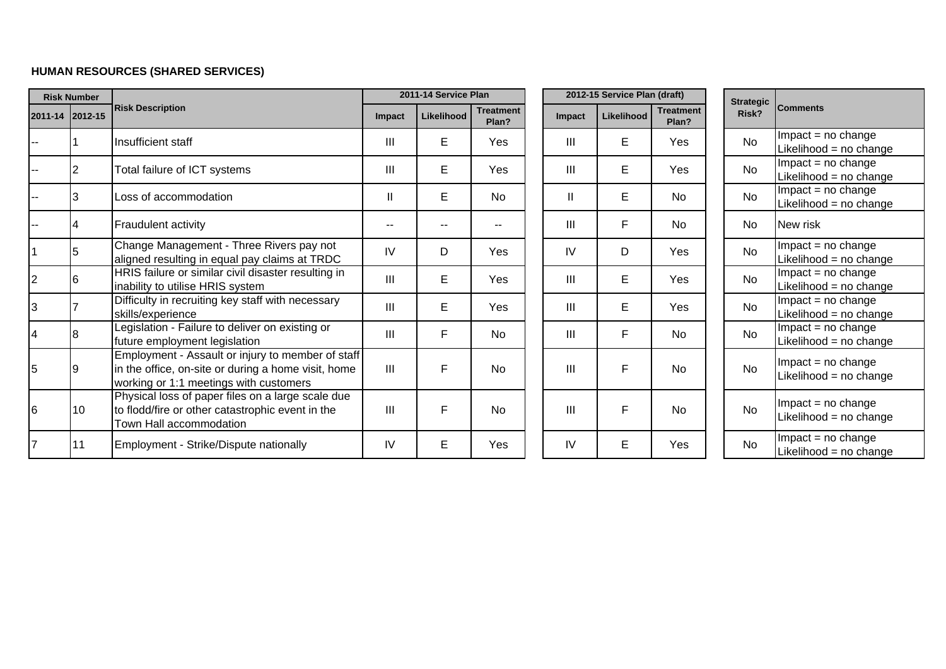## **HUMAN RESOURCES (SHARED SERVICES)**

| <b>Risk Number</b> |                 |                                                                                                                                                    | 2011-14 Service Plan |            |                           |                | 2012-15 Service Plan (draft) |                           | <b>Strategic</b> |                                              |
|--------------------|-----------------|----------------------------------------------------------------------------------------------------------------------------------------------------|----------------------|------------|---------------------------|----------------|------------------------------|---------------------------|------------------|----------------------------------------------|
|                    | 2011-14 2012-15 | <b>Risk Description</b>                                                                                                                            | Impact               | Likelihood | <b>Treatment</b><br>Plan? | Impact         | <b>Likelihood</b>            | <b>Treatment</b><br>Plan? | Risk?            | <b>Comments</b>                              |
|                    |                 | Insufficient staff                                                                                                                                 | III                  | E.         | Yes                       | Ш              | E                            | Yes                       | <b>No</b>        | $Impact = no change$<br>Likelihood = no chan |
|                    |                 | Total failure of ICT systems                                                                                                                       | Ш                    | E.         | Yes                       | $\mathbf{III}$ | E                            | <b>Yes</b>                | <b>No</b>        | $Impact = no change$<br>Likelihood = no chan |
|                    |                 | Loss of accommodation                                                                                                                              | Ш                    | E          | <b>No</b>                 | $\mathbf{II}$  | E                            | <b>No</b>                 | <b>No</b>        | $Impact = no change$<br>Likelihood = no chan |
|                    |                 | Fraudulent activity                                                                                                                                | --                   |            |                           | Ш              | F                            | <b>No</b>                 | No               | New risk                                     |
| 1                  | 15              | Change Management - Three Rivers pay not<br>aligned resulting in equal pay claims at TRDC                                                          | IV                   | D          | Yes                       | IV             | D                            | Yes                       | <b>No</b>        | $Impact = no change$<br>Likelihood = no chan |
| 2                  |                 | HRIS failure or similar civil disaster resulting in<br>inability to utilise HRIS system                                                            | III                  | E.         | Yes                       | III            | E                            | Yes                       | <b>No</b>        | $Impact = no change$<br>Likelihood = no chan |
| 3                  |                 | Difficulty in recruiting key staff with necessary<br>skills/experience                                                                             | III                  | E          | Yes                       | III            | E.                           | Yes                       | <b>No</b>        | $Impact = no change$<br>Likelihood = no chan |
|                    |                 | Legislation - Failure to deliver on existing or<br>future employment legislation                                                                   | III                  | F          | <b>No</b>                 | III            | F                            | <b>No</b>                 | No               | $Impact = no change$<br>Likelihood = no chan |
| 5                  |                 | Employment - Assault or injury to member of staff<br>in the office, on-site or during a home visit, home<br>working or 1:1 meetings with customers | III                  | F          | <b>No</b>                 | III            | F                            | <b>No</b>                 | <b>No</b>        | $Impact = no change$<br>Likelihood = no chan |
| 6                  | 10 <sup>°</sup> | Physical loss of paper files on a large scale due<br>to flodd/fire or other catastrophic event in the<br>Town Hall accommodation                   | III                  | F          | <b>No</b>                 | III            | F                            | <b>No</b>                 | <b>No</b>        | $Impact = no change$<br>Likelihood = no chan |
|                    | 11              | Employment - Strike/Dispute nationally                                                                                                             | IV                   | E          | Yes                       | IV             | E                            | Yes                       | <b>No</b>        | $Impact = no change$<br>Likelihood = no chan |

| <b>Strategic</b><br>Risk? | <b>Comments</b>          |
|---------------------------|--------------------------|
| Nο                        | $Impact = no change$     |
|                           | Likelihood = $no$ change |
| N٥                        | $Impact = no change$     |
|                           | Likelihood = no change   |
| N٥                        | $Impact = no change$     |
|                           | Likelihood = no change   |
| Nο                        | New risk                 |
| N٥                        | $Impact = no change$     |
|                           | Likelihood = no change   |
| N٥                        | $Impact = no change$     |
|                           | Likelihood = no change   |
| Nο                        | $Impact = no change$     |
|                           | Likelihood = no change   |
| Nο                        | $Impact = no change$     |
|                           | Likelihood = no change   |
|                           | $Impact = no change$     |
| N٥                        | Likelihood = no change   |
|                           |                          |
|                           | $Impact = no change$     |
| N٥                        | Likelihood = no change   |
|                           |                          |
| N٥                        | $Impact = no change$     |
|                           | Likelihood = no change   |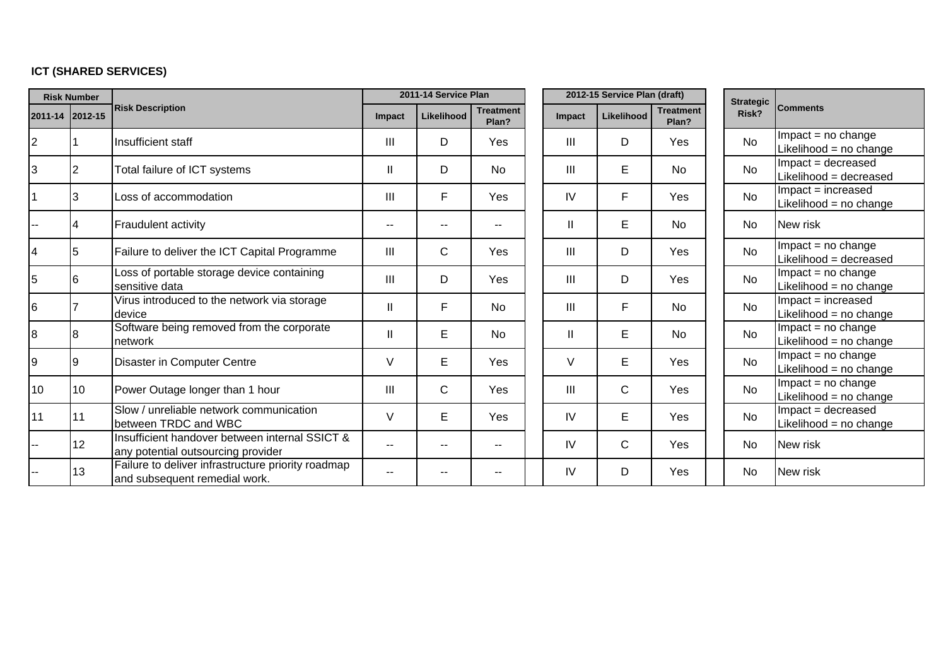# **ICT (SHARED SERVICES)**

| <b>Risk Number</b> |                 |                                                                                      | 2011-14 Service Plan |             |                           | 2012-15 Service Plan (draft) |              |                           |  | <b>Strategic</b> |                                                   |
|--------------------|-----------------|--------------------------------------------------------------------------------------|----------------------|-------------|---------------------------|------------------------------|--------------|---------------------------|--|------------------|---------------------------------------------------|
| 2011-14            | 2012-15         | <b>Risk Description</b>                                                              |                      | Likelihood  | <b>Treatment</b><br>Plan? | Impact                       | Likelihood   | <b>Treatment</b><br>Plan? |  | Risk?            | <b>Comments</b>                                   |
| $\overline{c}$     |                 | Insufficient staff                                                                   | Ш                    | D           | Yes                       | Ш                            | D            | Yes                       |  | <b>No</b>        | $Im$ pact = no change<br>Likelihood = $no$ change |
| 3                  | $\overline{2}$  | Total failure of ICT systems                                                         | Ш                    | D           | No.                       | III                          | E            | No                        |  | <b>No</b>        | Impact = decreased<br>Likelihood = decreased      |
| $\mathbf 1$        | 3               | Loss of accommodation                                                                | Ш                    | F           | Yes                       | IV                           | F            | Yes                       |  | <b>No</b>        | $Im$ pact = increased<br>Likelihood = no change   |
|                    | 4               | <b>Fraudulent activity</b>                                                           | --                   | --          | $\sim$ $\sim$             | $\mathbf{I}$                 | E            | <b>No</b>                 |  | No               | New risk                                          |
| $\overline{4}$     | 15              | Failure to deliver the ICT Capital Programme                                         | Ш                    | C           | Yes                       | III                          | D            | Yes                       |  | <b>No</b>        | Impact = no change<br>Likelihood = decreased      |
| 5                  | 6               | Loss of portable storage device containing<br>sensitive data                         | Ш                    | D           | Yes                       | III                          | D            | Yes                       |  | <b>No</b>        | $Impact = no change$<br>Likelihood = no change    |
| $6\phantom{.}6$    |                 | Virus introduced to the network via storage<br>device                                | Ш                    | F           | <b>No</b>                 | III                          | F            | No                        |  | <b>No</b>        | Impact = increased<br>Likelihood = no change      |
| 8                  | l8              | Software being removed from the corporate<br>network                                 | $\mathsf{I}$         | E           | <b>No</b>                 | $\mathbf{I}$                 | E            | <b>No</b>                 |  | <b>No</b>        | $Im$ pact = no change<br>Likelihood = no change   |
| 9                  | 19              | Disaster in Computer Centre                                                          | V                    | E           | Yes                       | V                            | Е            | Yes                       |  | <b>No</b>        | $Im$ pact = no change<br>Likelihood = no change   |
| 10                 | 10              | Power Outage longer than 1 hour                                                      | Ш                    | $\mathsf C$ | Yes                       | Ш                            | $\mathsf{C}$ | Yes                       |  | <b>No</b>        | Impact = no change<br>Likelihood = no change      |
| 11                 | 11              | Slow / unreliable network communication<br>between TRDC and WBC                      | V                    | E           | Yes                       | IV                           | E            | Yes                       |  | <b>No</b>        | Impact = decreased<br>Likelihood = no change      |
| --                 | 12 <sup>2</sup> | Insufficient handover between internal SSICT &<br>any potential outsourcing provider | --                   | --          | $-$                       | IV                           | $\mathsf{C}$ | Yes                       |  | <b>No</b>        | New risk                                          |
|                    | 13              | Failure to deliver infrastructure priority roadmap<br>and subsequent remedial work.  |                      |             |                           | IV                           | D            | Yes                       |  | <b>No</b>        | New risk                                          |